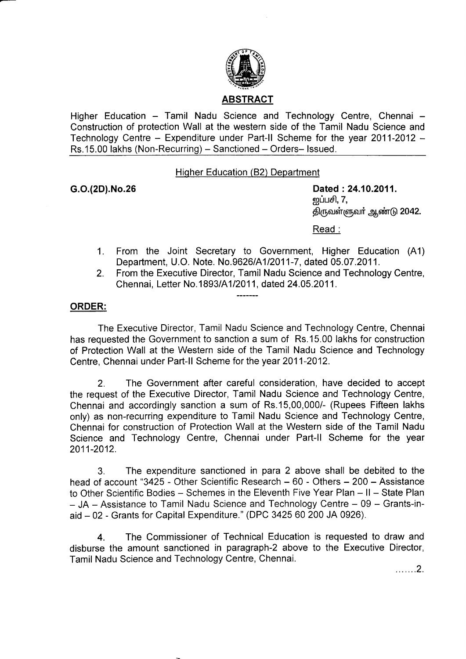

Higher Education - Tamil Nadu Science and Technology Centre, Chennai -Construction of protection Wall at the western side of the Tamil Nadu Science and Technology Centre - Expenditure under Part-II Scheme for the year 2011-2012 -Rs.15.00 lakhs (Non-Recurring) - Sanctioned - Orders- Issued.

Hiqher Education (B2) Department

G.O.(2D).No.26 Dated : 24.10.2011. <u>ன</u>ப்பசி, 7, திருவள்ளுவர் ஆண்டு 2042.

Read :

- 1. From the Joint Secretary to Government, Higher Education (A1) Department, U.O. Note. No.9626/A112011-7, dated 05.07.2011.
- 2. From the Executive Director, Tamil Nadu Science and Technology Centre, Chennai, Letter No. 1893/A1/2011, dated 24.05.2011.

## ORDER:

The Executive Director, Tamil Nadu Science and Technology Centre, Chennai has requested the Government to sanction a sum of Rs.15.00 lakhs for construction of Protection Wall at the Western side of the Tamil Nadu Science and Technology Centre, Chennai under Part-ll Scheme for the year 2011-2012.

2. The Government after careful consideration, have decided to accept the request of the Executive Director, Tamil Nadu Science and Technology Centre, Chennai and accordingly sanction a sum of Rs.15,00,000/- (Rupees Fifteen lakhs only) as non-recurring expenditure to Tamil Nadu Science and Technology Centre, Chennai for construction of Protection Wall at the Western side of the Tamil Nadu Science and Technology Centre, Chennai under Part-ll Scheme for the year 2011-2012.

3. The expenditure sanctioned in para 2 above shall be debited to the head of account "3425 - Other Scientific Research – 60 - Others – 200 – Assistance to Other Scientific Bodies - Schemes in the Eleventh Five Year Plan - II - State Plan  $-$  JA  $-$  Assistance to Tamil Nadu Science and Technology Centre  $-$  09  $-$  Grants-inaid - 02 - Grants for Capital Expenditure." (DPC 3425 60 200 JA 0926).

4. The Commissioner of Technical Education is requested to draw and disburse the amount sanctioned in paragraph-2 above to the Executive Director, Tamil Nadu Science and Technology Centre, Chennai.

.......2.